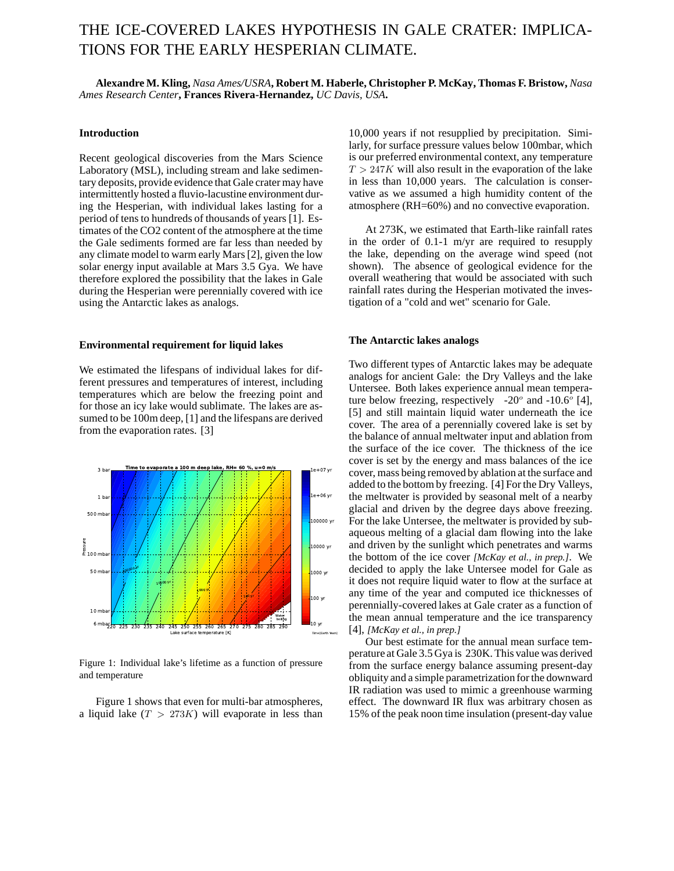# THE ICE-COVERED LAKES HYPOTHESIS IN GALE CRATER: IMPLICA-TIONS FOR THE EARLY HESPERIAN CLIMATE.

**Alexandre M. Kling,** *Nasa Ames/USRA***, Robert M. Haberle, Christopher P. McKay, Thomas F. Bristow,** *Nasa Ames Research Center***, Frances Rivera-Hernandez,** *UC Davis, USA***.**

## **Introduction**

Recent geological discoveries from the Mars Science Laboratory (MSL), including stream and lake sedimentary deposits, provide evidence that Gale crater may have intermittently hosted a fluvio-lacustine environment during the Hesperian, with individual lakes lasting for a period of tens to hundreds of thousands of years [1]. Estimates of the CO2 content of the atmosphere at the time the Gale sediments formed are far less than needed by any climate model to warm early Mars [2], given the low solar energy input available at Mars 3.5 Gya. We have therefore explored the possibility that the lakes in Gale during the Hesperian were perennially covered with ice using the Antarctic lakes as analogs.

### **Environmental requirement for liquid lakes**

We estimated the lifespans of individual lakes for different pressures and temperatures of interest, including temperatures which are below the freezing point and for those an icy lake would sublimate. The lakes are assumed to be 100m deep, [1] and the lifespans are derived from the evaporation rates. [3]



Figure 1: Individual lake's lifetime as a function of pressure and temperature

Figure 1 shows that even for multi-bar atmospheres, a liquid lake  $(T > 273K)$  will evaporate in less than

10,000 years if not resupplied by precipitation. Similarly, for surface pressure values below 100mbar, which is our preferred environmental context, any temperature  $T > 247K$  will also result in the evaporation of the lake in less than 10,000 years. The calculation is conservative as we assumed a high humidity content of the atmosphere (RH=60%) and no convective evaporation.

At 273K, we estimated that Earth-like rainfall rates in the order of 0.1-1 m/yr are required to resupply the lake, depending on the average wind speed (not shown). The absence of geological evidence for the overall weathering that would be associated with such rainfall rates during the Hesperian motivated the investigation of a "cold and wet" scenario for Gale.

#### **The Antarctic lakes analogs**

Two different types of Antarctic lakes may be adequate analogs for ancient Gale: the Dry Valleys and the lake Untersee. Both lakes experience annual mean temperature below freezing, respectively -20 $^{\circ}$  and -10.6 $^{\circ}$  [4], [5] and still maintain liquid water underneath the ice cover. The area of a perennially covered lake is set by the balance of annual meltwater input and ablation from the surface of the ice cover. The thickness of the ice cover is set by the energy and mass balances of the ice cover, mass being removed by ablation at the surface and added to the bottom by freezing. [4] For the Dry Valleys, the meltwater is provided by seasonal melt of a nearby glacial and driven by the degree days above freezing. For the lake Untersee, the meltwater is provided by subaqueous melting of a glacial dam flowing into the lake and driven by the sunlight which penetrates and warms the bottom of the ice cover *[McKay et al., in prep.]*. We decided to apply the lake Untersee model for Gale as it does not require liquid water to flow at the surface at any time of the year and computed ice thicknesses of perennially-covered lakes at Gale crater as a function of the mean annual temperature and the ice transparency [4], *[McKay et al., in prep.]*

Our best estimate for the annual mean surface temperature at Gale 3.5 Gya is 230K. This value was derived from the surface energy balance assuming present-day obliquity and a simple parametrization for the downward IR radiation was used to mimic a greenhouse warming effect. The downward IR flux was arbitrary chosen as 15% of the peak noon time insulation (present-day value